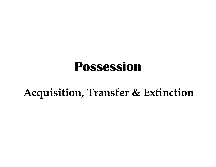### Possession

### Acquisition, Transfer & Extinction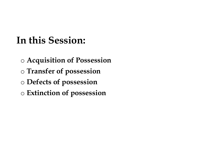### In this Session:

- o Acquisition of Possession
- o Transfer of possession
- o Defects of possession
- o Extinction of possession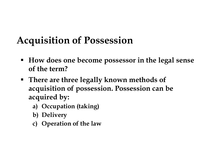### Acquisition of Possession

- How does one become possessor in the legal sense of the term?
- There are three legally known methods of acquisition of possession. Possession can be acquired by: [U1S1t1ON Of POSSeSS1ON]<br>Iow does one become possessof<br>the term?<br>There are three legally known r<br>cquisition of possession. Posse<br>cquired by:<br>a) Occupation (taking)<br>b) Delivery<br>c) Operation of the law Iow does one become possessof<br>the term?<br>There are three legally known requisition of possession. Posse<br>cquired by:<br>a) Occupation (taking)<br>b) Delivery<br>c) Operation of the law (Iow does one become possessof<br>f the term?<br>There are three legally known requisition of possession. Posse<br>cquired by:<br>a) Occupation (taking)<br>b) Delivery<br>c) Operation of the law
	-
	-
	-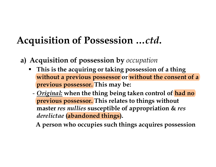- 
- **Acquisition of Possession ...ctd.**<br> **a)** Acquisition of possession by *occupation*<br> **•** This is the acquiring or taking possession of a thing<br>
without a previous possessor or without the consent of a This is the acquiring or taking possession of a thing without a previous possessor or without the consent of a previous possessor. This may be:
	- *Original:* when the thing being taken control of had no previous possessor. This relates to things without master res nullies susceptible of appropriation & res derelictae (abandoned things).

A person who occupies such things acquires possession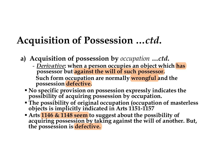- 
- **Solutifion of Possession ...** *ctd.*<br>
Acquisition of possession by *occupation ... ctd.*<br>
 <u>Derivative</u>: when a person occupies an object which has<br>
possessor but **against the will of such possessor.**<br>
Such form occupati Such form occupation are normally wrongful and the possession defective.
	- No specific provision on possession expressly indicates the possibility of acquiring possession by occupation.
	- The possibility of original occupation (occupation of masterless objects is implicitly indicated in Arts 1151-1157
	- Arts 1146 & 1148 seem to suggest about the possibility of acquiring possession by taking against the will of another. But, the possession is defective.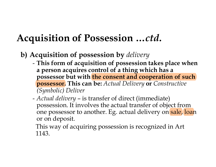- 
- **Solutified Set of Possession ...ctd.**<br> **b)** Acquisition of possession by *delivery*<br>
 This form of acquisition of possession takes place where<br>
a person acquires control of a thing which has a<br>
person acquires control of - This form of acquisition of possession takes place when a person acquires control of a thing which has a possessor but with the consent and cooperation of such possessor. This can be: Actual Delivery or Constructive (Symbolic) Deliver **Later Conformal Conformal Conformal Conformal Acceptision of possession by** *delivery***<br>
- This form of acquisition of possession takes place where a person acquires control of a thing which has a possessor but with <b>the co** rquisition of possession by *delivery*<br>This form of acquisition of possession takes place when<br>a person acquires control of a thing which has a<br>possessor but with the consent and cooperation of such<br>possessor. This can be:
	- possession. It involves the actual transfer of object from or on deposit.
		- This way of acquiring possession is recognized in Art 1143.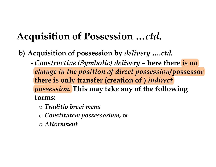- **Acquisition of Possession ...ctd.**<br>b) Acquisition of possession by *delivery ....ctd.*<br>- Constructive (Symbolic) delivery here there is no<br>change in the position of direct possession/possessor<br>there is only transfer (cr change in the position of direct possession/possessor there is only transfer (creation of ) indirect possession. This may take any of the following forms: puisition of possession by *delivery* ....ctd.<br> *Constructive (Symbolic) delivery* – here then<br>
hange in the position of direct possession/p<br>
here is only transfer (creation of ) indirect<br>
ossession. This may take any of t quisition of possession by *delivery* ....*ctd*<br> *constructive* (*Symbolic) delivery* – here the<br> *hange in the position of direct possession*<br>
nere is only transfer (creation of ) *indirect*<br> *ossession*. This may take an
	-
	-
	- o Attornment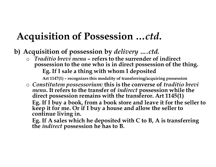- 
- Acquisition of Possession ...ctd.<br>
b) Acquisition of possession by *delivery ....ctd.*<br>
o *Traditio brevi menu* refers to the surrender of indirect<br>
possession to the one who is in direct possession of the<br>
Eg. If I sale **Calcularition of Possession ...ctd.**<br> **Calcularity of possession by** *delivery* **....ctd.**<br>  $\circ$  Traditio brevi menu – refers to the surrender of indirect<br>
possession to the one who is in direct possession of the thing.<br>
E possession to the one who is in direct possession of the thing. **Establish of Possession ...ctd.**<br>
Sition of possession by *delivery* ....ctd.<br> *ditio brevi menu* – refers to the surrender of indirect<br>
session to the one who is in direct possession of the thing.<br>
Eg. If I sale a thing **Example:**<br> **Art 1147(1) Of POSSession by delivery ....ctd.**<br>
aditio brevi menu - refers to the surrender of indirect<br>
session to the one who is in direct possession of the thing.<br>
Eg. If I sale a thing with whom I depo

**Constitution of Possession ...ctd.**<br>
Constitution of possession by delivery ....ctd.<br>
Constitutio brevi menu - refers to the surrender of indirect<br>
possession to the one who is in direct possession of the thing.<br>
Eg. If o Constitutem possessorium: this is the converse of *traditio brevi* menu. It refers to the transfer of *indirect* possession while the direct possession remains with the transferor. Art 1145(1) **IUISITION OT P'OSSESSION** ...CTA.<br>
quisition of possession by *delivery* ....ctd.<br> *Traditio brevi menu* – refers to the surrender of indirect<br>
possession to the one who is in direct possession of the thing.<br>
Eg. If I sa Traditio brevi menu – refers to the surrender of indirect possession to the one who is in direct possession of the thing.<br>Eg. If I sale a thing with whom I deposited  $\Delta t$  1147(1) - recognizes this modality of transferrin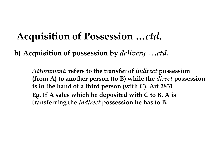# Acquisition of Possession …ctd. Acquisition of Possession ...*ctd*.<br>b) Acquisition of possession by *delivery ....ctd.*<br>Attornment: refers to the transfer of *indirect* possession.

Attornment: refers to the transfer of *indirect* possession (from A) to another person (to B) while the *direct* possession is in the hand of a third person (with C). Art 2831 **quisition of Possession ...ctd.**<br>quisition of possession by *delivery ....ctd.*<br>Attornment: refers to the transfer of *indirect* possession<br>(from A) to another person (to B) while the *direct* possessi<br>is in the hand of a transferring the indirect possession he has to B.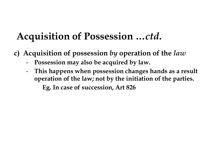# Acquisition of Possession …ctd. **Acquisition of Possession ...ctd.**<br>
c) Acquisition of possession by operation of the *law*<br>
- Possession may also be acquired by law.<br>
- This happens when possession changes hands as a result

- - Possession may also be acquired by law.
- This happens when possession changes hands as a result operation of the law; not by the initiation of the parties. isition of Possession ..<br>
isition of possession by operati<br>
ssession may also be acquired by la<br>
is happens when possession chang<br>
eration of the law; not by the initial<br>
Eg. In case of succession, Art 826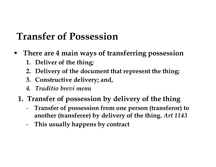## Transfer of Possession The carries of **Possession**<br>1. Deliver of the thing;<br>1. Deliver of the thing;<br>2. Delivery of the document that i<br>3. Constructive delivery; and, **Ansfer of Possession<br>
There are 4 main ways of transferi<br>
1. Deliver of the thing;<br>
2. Delivery of the document that repi<br>
3. Constructive delivery; and,<br>
4.** *Traditio brevi menu***<br>
Transfer of possession by delive**

- **There are 4 main ways of transferring possession Example 18.5 The document of Possession**<br>2. Deliver of the thing;<br>2. Deliver of the thing;<br>2. Delivery of the document that represent the thing;<br>3. Constructive delivery; and,<br>4. Traditio brevi menu
	-
	-
	-
	-
	- **Example 18.5 There are 4 main ways of transferring posse**<br>
	There are 4 main ways of transferring posse<br>
	1. Deliver of the thing;<br>
	2. Delivery of the document that represent the ti<br>
	3. Constructive delivery; and,<br>
	4. *Trad*
	- **Transfer of Possession**<br>
	There are 4 main ways of transferring possession<br>
	1. Deliver of the thing;<br>
	2. Delivery of the document that represent the thing;<br>
	3. Constructive delivery; and,<br>
	4. Traditio brevi menu<br>
	1. Transf Transfer of possession from one person (transferor) to another (transferee) by delivery of the thing. Art 1143
		- This usually happens by contract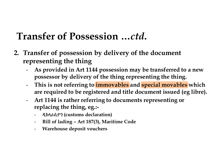### Transfer of Possession …ctd.

- Transfer of Possession ...*ctd*.<br>2. Transfer of possession by delivery of the document<br>representing the thing<br>- As provided in Art 1144 possession may be transferred to a new representing the thing
	- As provided in Art 1144 possession may be transferred to a new possessor by delivery of the thing representing the thing. **Example 1 Transfer of Possession by delivery of the document**<br> **Example 1 Transfer of possession by delivery of the document**<br> **As provided in Art 1144 possession may be transferred to a new**<br>
	possessor by delivery of the mestration produces are the thing<br>resenting the thing<br>As provided in Art 1144 possession may be transferred<br>possessor by delivery of the thing representing the thi<br>This is not referring to **immovables** and **special moval**<br>
	- This is not referring to immovables and special movables which
	- replacing the thing, eg.:-
		- ዲክላራሲዮን (customs declaration)
		-
		- Warehouse deposit vouchers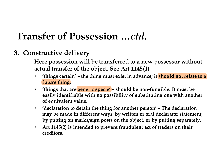### Transfer of Possession …ctd.

- 
- Transfer of Possession ...*c*<br>3. Constructive delivery<br>- Here possession will be transferred to<br>actual transfer of the object. See Art 11 Here possession will be transferred to a new possessor without actual transfer of the object. See Art 1145(1) • 'things certain' – the thing must exist in advance; it should not relate to a
	- future thing.
	- 'things that are generic specie' should be non-fungible. It must be easily identifiable with no possibility of substituting one with another of equivalent value.
	- **Example 18 All increases the thing for an expresses of without**<br> **example 19 All increases the consistence of the object. See Art 1145(1)**<br>
	 'things certain' the thing must exist in advance; it **should not relate to a** may be made in different ways: by written or oral declarator statement, by putting on marks/sign posts on the object, or by putting separately.
	- Art 1145(2) is intended to prevent fraudulent act of traders on their creditors.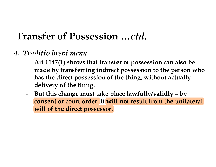### Transfer of Possession …ctd.

- 
- Transfer of Possession ...ctd.<br>4. Traditio brevi menu<br>- Art 1147(1) shows that transfer of possession<br>made by transferring indirect possession to - Art 1147(1) shows that transfer of possession can also be made by transferring indirect possession to the person who has the direct possession of the thing, without actually delivery of the thing. **The Transfer of Possession ...ctd.**<br>
Fraditio brevi menu<br>
- Art 1147(1) shows that transfer of possession can also be<br>
made by transferring indirect possession to the person who<br>
has the direct possession of the thing, wi
	- consent or court order. It will not result from the unilateral will of the direct possessor.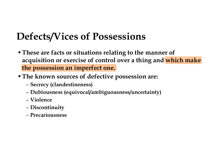### Defects/Vices of Possessions

- **These are facts or situations relating to the manner of** acquisition or exercise of control over a thing and which make the possession an imperfect one.
- The known sources of defective possession are:
	- Secrecy (clandestineness)
	- Dubiousness (equivocal/ambiguousness/uncertainty)
	- Violence
	- Discontinuity
	- Precariousness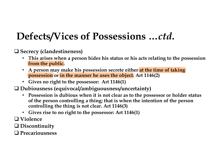### Defects/Vices of Possessions …ctd.

 $\square$  Secrecy (clandestineness)

- This arises when a person hides his status or his acts relating to the possession from the public.
- A person may make his possession secrete either at the time of taking possession or in the manner he uses the object. Art 1146(2)
- Gives no right to the possessor: Art 1146(1)
- Dubiousness (equivocal/ambiguousness/uncertainty)
	- Possession is dubious when it is not clear as to the possessor or holder status of the person controlling a thing; that is when the intention of the person controlling the thing is not clear. Art 1146(3)
	- Gives rise to no right to the possessor: Art 1146(1)
- $\Box$  Violence
- Discontinuity
- □ Precariousness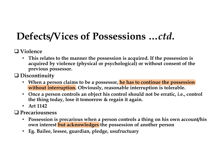### Defects/Vices of Possessions …ctd.

### $\Box$  Violence

• This relates to the manner the possession is acquired. If the possession is acquired by violence (physical or psychological) or without consent of the previous possessor.

□ Discontinuity

- When a person claims to be a possessor, he has to continue the possession without interruption. Obviously, reasonable interruption is tolerable. acquired by violence (physical or psychological) c<br>previous possessor.<br>Discontinuity<br>• When a person claims to be a possessor, he has to<br>without interruption. Obviously, reasonable inter<br>• Once a person controls an object
- Once a person controls an object his control should not be erratic, i.e., control the thing today, lose it tomorrow & regain it again.
- Art 1142

□ Precariousness

- Possession is precarious when a person controls a thing on his own account/his own interest but acknowledges the possession of another person
-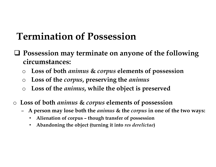### Termination of Possession

- $\Box$  Possession may terminate on anyone of the following circumstances: **Example 30** Sossession may terminate on anyone of the following<br>
rcumstances:<br>
Loss of both *animus* & *corpus* elements of possession<br>
Loss of the *corpus*, preserving the *animus*<br>
Loss of the *animus*, while the object
	- o Loss of both animus & corpus elements of possession
	- $\circ$  Loss of the *corpus*, preserving the *animus*
	- $\circ$  Loss of the *animus*, while the object is preserved
- o Loss of both animus & corpus elements of possession
	- A person may lose both the *animus* & the *corpus* in one of the two ways:
		-
		- Abandoning the object (turning it into res derelictae)